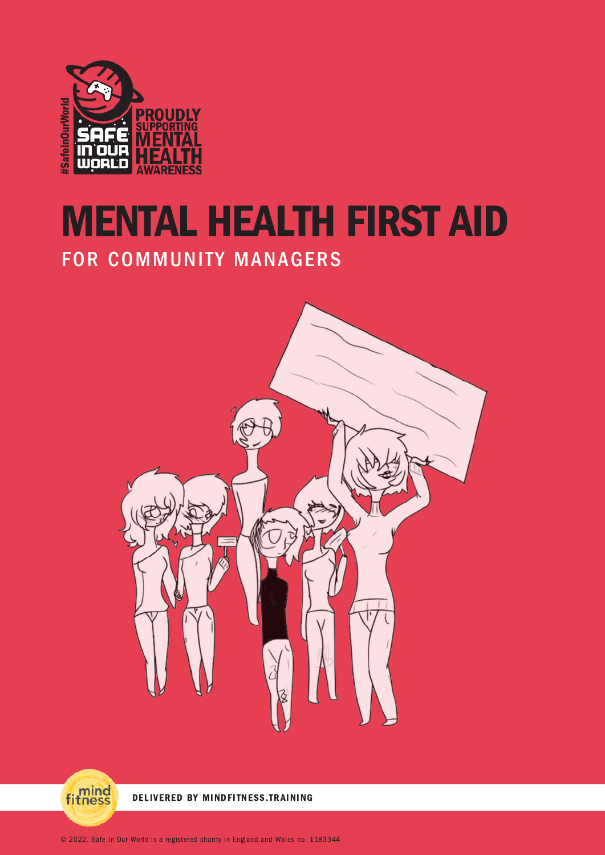

# MENTAL HEALTH FIRST AID FOR COMMUNITY MANAGERS





[DELIVERED BY MINDFITNESS.TRAINING](https://www.mindfitness.training/)

[© 2022. Safe In Our World is a registered charity in England and Wales no. 1183344](https://www.mindfitness.training/)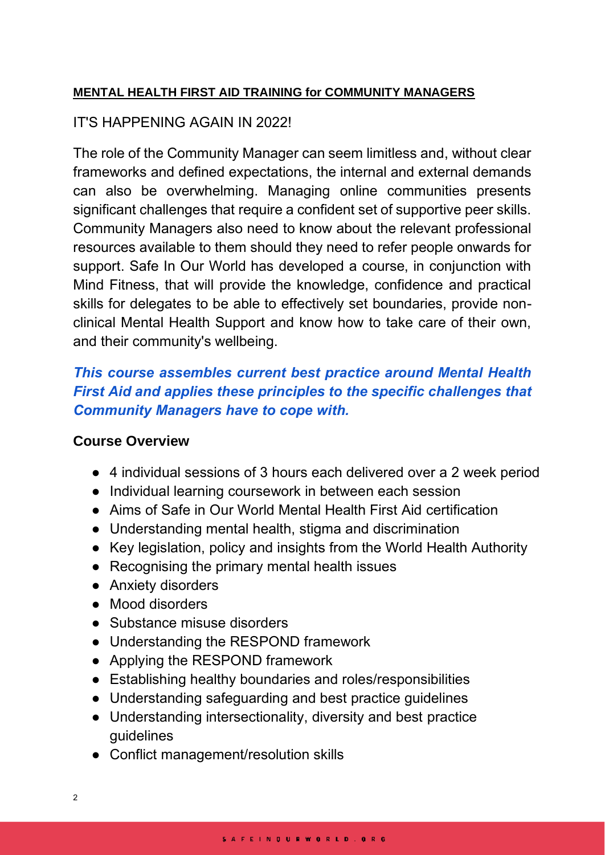### **MENTAL HEALTH FIRST AID TRAINING for COMMUNITY MANAGERS**

## IT'S HAPPENING AGAIN IN 2022!

The role of the Community Manager can seem limitless and, without clear frameworks and defined expectations, the internal and external demands can also be overwhelming. Managing online communities presents significant challenges that require a confident set of supportive peer skills. Community Managers also need to know about the relevant professional resources available to them should they need to refer people onwards for support. Safe In Our World has developed a course, in conjunction with Mind Fitness, that will provide the knowledge, confidence and practical skills for delegates to be able to effectively set boundaries, provide nonclinical Mental Health Support and know how to take care of their own, and their community's wellbeing.

# *This course assembles current best practice around Mental Health First Aid and applies these principles to the specific challenges that Community Managers have to cope with.*

### **Course Overview**

- 4 individual sessions of 3 hours each delivered over a 2 week period
- Individual learning coursework in between each session
- Aims of Safe in Our World Mental Health First Aid certification
- Understanding mental health, stigma and discrimination
- Key legislation, policy and insights from the World Health Authority
- Recognising the primary mental health issues
- Anxiety disorders
- Mood disorders
- Substance misuse disorders
- Understanding the RESPOND framework
- Applying the RESPOND framework
- Establishing healthy boundaries and roles/responsibilities
- Understanding safeguarding and best practice guidelines
- Understanding intersectionality, diversity and best practice guidelines
- Conflict management/resolution skills